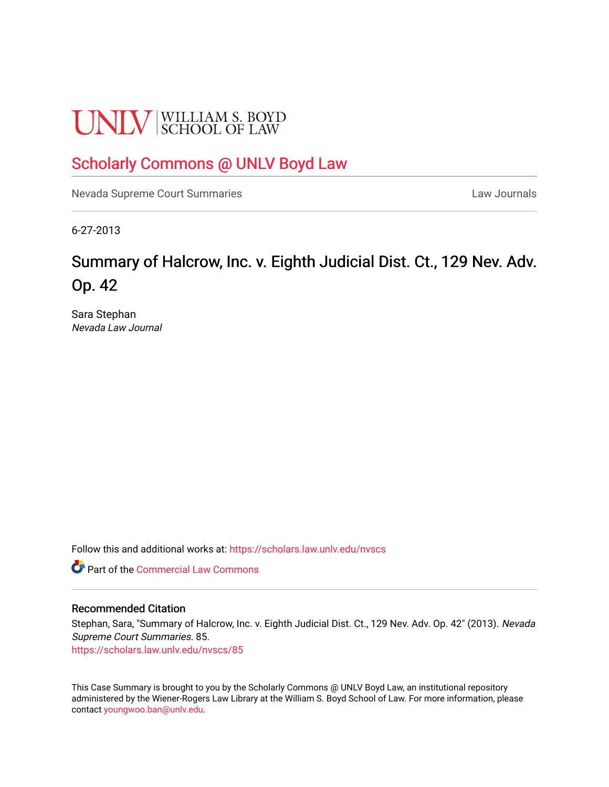# **UNLV** SCHOOL OF LAW

### [Scholarly Commons @ UNLV Boyd Law](https://scholars.law.unlv.edu/)

[Nevada Supreme Court Summaries](https://scholars.law.unlv.edu/nvscs) **Law Journals** Law Journals

6-27-2013

## Summary of Halcrow, Inc. v. Eighth Judicial Dist. Ct., 129 Nev. Adv. Op. 42

Sara Stephan Nevada Law Journal

Follow this and additional works at: [https://scholars.law.unlv.edu/nvscs](https://scholars.law.unlv.edu/nvscs?utm_source=scholars.law.unlv.edu%2Fnvscs%2F85&utm_medium=PDF&utm_campaign=PDFCoverPages)

**Part of the [Commercial Law Commons](http://network.bepress.com/hgg/discipline/586?utm_source=scholars.law.unlv.edu%2Fnvscs%2F85&utm_medium=PDF&utm_campaign=PDFCoverPages)** 

#### Recommended Citation

Stephan, Sara, "Summary of Halcrow, Inc. v. Eighth Judicial Dist. Ct., 129 Nev. Adv. Op. 42" (2013). Nevada Supreme Court Summaries. 85.

[https://scholars.law.unlv.edu/nvscs/85](https://scholars.law.unlv.edu/nvscs/85?utm_source=scholars.law.unlv.edu%2Fnvscs%2F85&utm_medium=PDF&utm_campaign=PDFCoverPages) 

This Case Summary is brought to you by the Scholarly Commons @ UNLV Boyd Law, an institutional repository administered by the Wiener-Rogers Law Library at the William S. Boyd School of Law. For more information, please contact [youngwoo.ban@unlv.edu](mailto:youngwoo.ban@unlv.edu).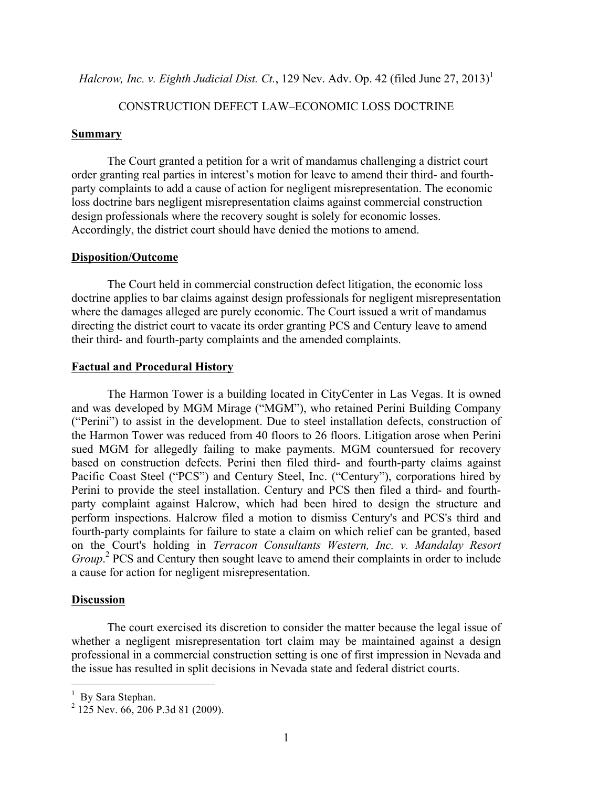*Halcrow, Inc. v. Eighth Judicial Dist. Ct.,* 129 Nev. Adv. Op. 42 (filed June 27, 2013)<sup>1</sup>

#### CONSTRUCTION DEFECT LAW–ECONOMIC LOSS DOCTRINE

#### **Summary**

The Court granted a petition for a writ of mandamus challenging a district court order granting real parties in interest's motion for leave to amend their third- and fourthparty complaints to add a cause of action for negligent misrepresentation. The economic loss doctrine bars negligent misrepresentation claims against commercial construction design professionals where the recovery sought is solely for economic losses. Accordingly, the district court should have denied the motions to amend.

#### **Disposition/Outcome**

The Court held in commercial construction defect litigation, the economic loss doctrine applies to bar claims against design professionals for negligent misrepresentation where the damages alleged are purely economic. The Court issued a writ of mandamus directing the district court to vacate its order granting PCS and Century leave to amend their third- and fourth-party complaints and the amended complaints.

#### **Factual and Procedural History**

The Harmon Tower is a building located in CityCenter in Las Vegas. It is owned and was developed by MGM Mirage ("MGM"), who retained Perini Building Company ("Perini") to assist in the development. Due to steel installation defects, construction of the Harmon Tower was reduced from 40 floors to 26 floors. Litigation arose when Perini sued MGM for allegedly failing to make payments. MGM countersued for recovery based on construction defects. Perini then filed third- and fourth-party claims against Pacific Coast Steel ("PCS") and Century Steel, Inc. ("Century"), corporations hired by Perini to provide the steel installation. Century and PCS then filed a third- and fourthparty complaint against Halcrow, which had been hired to design the structure and perform inspections. Halcrow filed a motion to dismiss Century's and PCS's third and fourth-party complaints for failure to state a claim on which relief can be granted, based on the Court's holding in *Terracon Consultants Western, Inc. v. Mandalay Resort Group*. <sup>2</sup> PCS and Century then sought leave to amend their complaints in order to include a cause for action for negligent misrepresentation.

#### **Discussion**

The court exercised its discretion to consider the matter because the legal issue of whether a negligent misrepresentation tort claim may be maintained against a design professional in a commercial construction setting is one of first impression in Nevada and the issue has resulted in split decisions in Nevada state and federal district courts.

 $\frac{1}{1}$  $<sup>1</sup>$  By Sara Stephan.</sup>

 $^{2}$  125 Nev. 66, 206 P.3d 81 (2009).